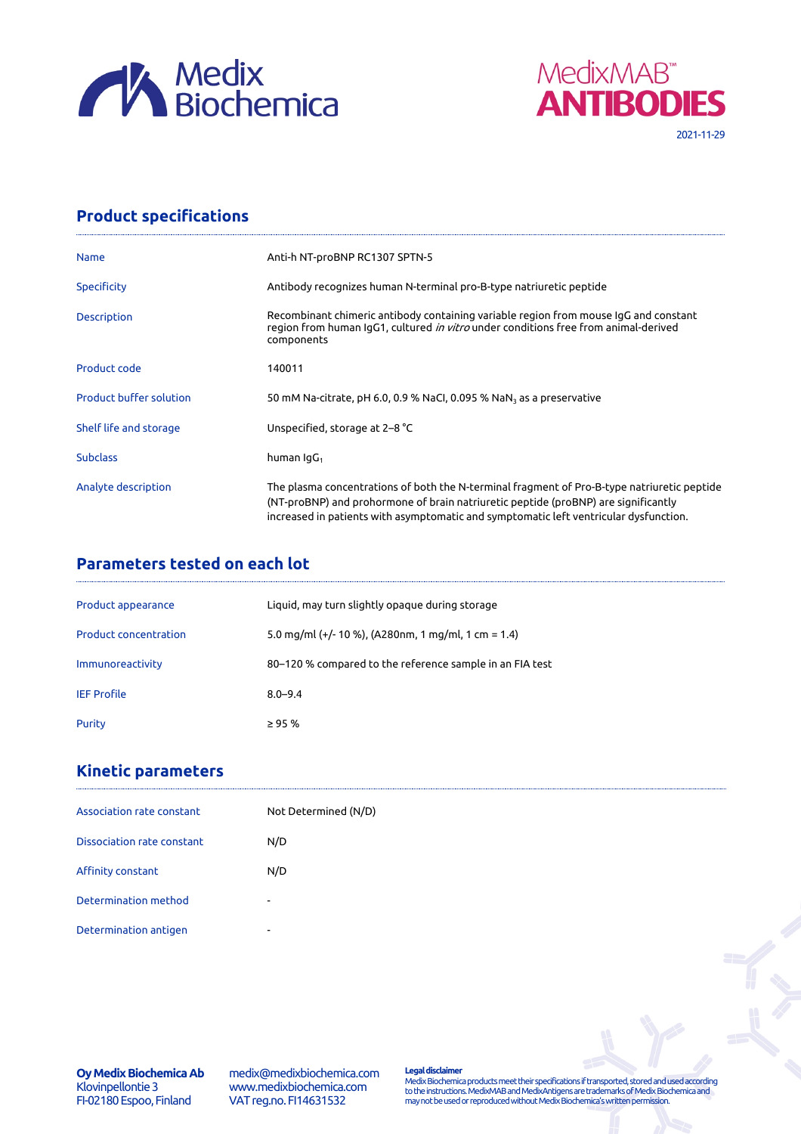



## **Product specifications**

| <b>Name</b>                    | Anti-h NT-proBNP RC1307 SPTN-5                                                                                                                                                                                                                                             |
|--------------------------------|----------------------------------------------------------------------------------------------------------------------------------------------------------------------------------------------------------------------------------------------------------------------------|
| <b>Specificity</b>             | Antibody recognizes human N-terminal pro-B-type natriuretic peptide                                                                                                                                                                                                        |
| <b>Description</b>             | Recombinant chimeric antibody containing variable region from mouse IgG and constant<br>region from human IgG1, cultured in vitro under conditions free from animal-derived<br>components                                                                                  |
| Product code                   | 140011                                                                                                                                                                                                                                                                     |
| <b>Product buffer solution</b> | 50 mM Na-citrate, pH 6.0, 0.9 % NaCl, 0.095 % NaN <sub>3</sub> as a preservative                                                                                                                                                                                           |
| Shelf life and storage         | Unspecified, storage at 2–8 °C                                                                                                                                                                                                                                             |
| <b>Subclass</b>                | human $\lg G_1$                                                                                                                                                                                                                                                            |
| Analyte description            | The plasma concentrations of both the N-terminal fragment of Pro-B-type natriuretic peptide<br>(NT-proBNP) and prohormone of brain natriuretic peptide (proBNP) are significantly<br>increased in patients with asymptomatic and symptomatic left ventricular dysfunction. |

## **Parameters tested on each lot**

| Product appearance           | Liquid, may turn slightly opaque during storage          |
|------------------------------|----------------------------------------------------------|
| <b>Product concentration</b> | 5.0 mg/ml (+/- 10 %), (A280nm, 1 mg/ml, 1 cm = 1.4)      |
| Immunoreactivity             | 80–120 % compared to the reference sample in an FIA test |
| <b>IEF Profile</b>           | $8.0 - 9.4$                                              |
| Purity                       | $\geq$ 95 %                                              |

## **Kinetic parameters**

| Association rate constant  | Not Determined (N/D)     |
|----------------------------|--------------------------|
| Dissociation rate constant | N/D                      |
| Affinity constant          | N/D                      |
| Determination method       | $\overline{\phantom{0}}$ |
| Determination antigen      | ٠                        |

**Oy Medix Biochemica Ab** Klovinpellontie 3 FI-02180 Espoo, Finland

medix@medixbiochemica.com www.medixbiochemica.com VAT reg.no. FI14631532

**Legal disclaimer** Medix Biochemica products meet their specifications if transported, stored and used according to the instructions. MedixMAB and MedixAntigens are trademarks of Medix Biochemica and may not be used or reproduced without Medix Biochemica's written permission.